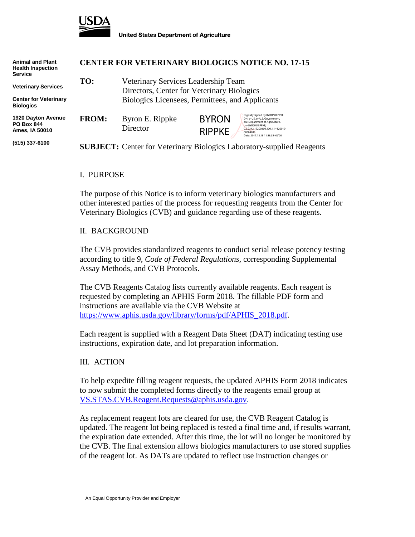

| <b>Animal and Plant</b><br><b>Health Inspection</b><br><b>Service</b>          | <b>CENTER FOR VETERINARY BIOLOGICS NOTICE NO. 17-15</b> |                                                                                                                                      |                               |                                                                                                                                                                                                             |
|--------------------------------------------------------------------------------|---------------------------------------------------------|--------------------------------------------------------------------------------------------------------------------------------------|-------------------------------|-------------------------------------------------------------------------------------------------------------------------------------------------------------------------------------------------------------|
| <b>Veterinary Services</b><br><b>Center for Veterinary</b><br><b>Biologics</b> | TO:                                                     | Veterinary Services Leadership Team<br>Directors, Center for Veterinary Biologics<br>Biologics Licensees, Permittees, and Applicants |                               |                                                                                                                                                                                                             |
| 1920 Dayton Avenue<br><b>PO Box 844</b><br>Ames, IA 50010                      | <b>FROM:</b>                                            | Byron E. Rippke<br>Director                                                                                                          | <b>BYRON</b><br><b>RIPPKE</b> | Digitally signed by BYRON RIPPKE<br>DN: c=US, o=U.S. Government.<br>ou=Department of Agriculture,<br>cn=BYRON RIPPKE.<br>0.9.2342.19200300.100.1.1=120010<br>00004093<br>Date: 2017.12.19 11:58:35 - 06'00' |
| (515) 337-6100                                                                 |                                                         | <b>SUBJECT:</b> Center for Veterinary Biologics Laboratory-supplied Reagents                                                         |                               |                                                                                                                                                                                                             |

#### I. PURPOSE

The purpose of this Notice is to inform veterinary biologics manufacturers and other interested parties of the process for requesting reagents from the Center for Veterinary Biologics (CVB) and guidance regarding use of these reagents.

### II. BACKGROUND

The CVB provides standardized reagents to conduct serial release potency testing according to title 9, *Code of Federal Regulations,* corresponding Supplemental Assay Methods, and CVB Protocols.

The CVB Reagents Catalog lists currently available reagents. Each reagent is requested by completing an APHIS Form 2018. The fillable PDF form and instructions are available via the CVB Website at [https://www.aphis.usda.gov/library/forms/pdf/APHIS\\_2018.pdf.](https://www.aphis.usda.gov/library/forms/pdf/APHIS_2018.pdf)

Each reagent is supplied with a Reagent Data Sheet (DAT) indicating testing use instructions, expiration date, and lot preparation information.

### III. ACTION

To help expedite filling reagent requests, the updated APHIS Form 2018 indicates to now submit the completed forms directly to the reagents email group at [VS.STAS.CVB.Reagent.Requests@aphis.usda.gov.](mailto:VS.STAS.CVB.Reagent.Requests@aphis.usda.gov)

As replacement reagent lots are cleared for use, the CVB Reagent Catalog is updated. The reagent lot being replaced is tested a final time and, if results warrant, the expiration date extended. After this time, the lot will no longer be monitored by the CVB. The final extension allows biologics manufacturers to use stored supplies of the reagent lot. As DATs are updated to reflect use instruction changes or